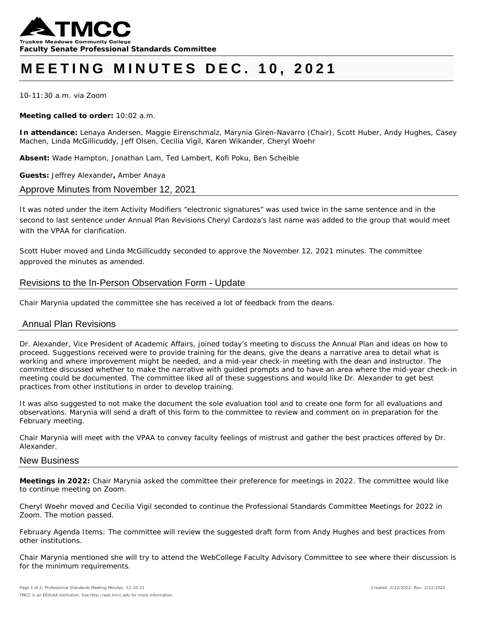

# **MEETING MINUTES DEC. 10, 2021**

10-11:30 a.m. via Zoom

**Meeting called to order:** 10:02 a.m.

**In attendance:** Lenaya Andersen, Maggie Eirenschmalz, Marynia Giren-Navarro (Chair), Scott Huber, Andy Hughes, Casey Machen, Linda McGillicuddy, Jeff Olsen, Cecilia Vigil, Karen Wikander, Cheryl Woehr

**Absent:** Wade Hampton, Jonathan Lam, Ted Lambert, Kofi Poku, Ben Scheible

**Guests:** Jeffrey Alexander**,** Amber Anaya

#### Approve Minutes from November 12, 2021

It was noted under the item Activity Modifiers "electronic signatures" was used twice in the same sentence and in the second to last sentence under Annual Plan Revisions Cheryl Cardoza's last name was added to the group that would meet with the VPAA for clarification.

*Scott Huber moved and Linda McGillicuddy seconded to approve the November 12, 2021 minutes. The committee approved the minutes as amended.* 

## Revisions to the In-Person Observation Form - Update

Chair Marynia updated the committee she has received a lot of feedback from the deans.

## Annual Plan Revisions

Dr. Alexander, Vice President of Academic Affairs, joined today's meeting to discuss the Annual Plan and ideas on how to proceed. Suggestions received were to provide training for the deans, give the deans a narrative area to detail what is working and where improvement might be needed, and a mid-year check-in meeting with the dean and instructor. The committee discussed whether to make the narrative with guided prompts and to have an area where the mid-year check-in meeting could be documented. The committee liked all of these suggestions and would like Dr. Alexander to get best practices from other institutions in order to develop training.

It was also suggested to not make the document the sole evaluation tool and to create one form for all evaluations and observations. Marynia will send a draft of this form to the committee to review and comment on in preparation for the February meeting.

Chair Marynia will meet with the VPAA to convey faculty feelings of mistrust and gather the best practices offered by Dr. Alexander.

#### New Business

**Meetings in 2022:** Chair Marynia asked the committee their preference for meetings in 2022. The committee would like to continue meeting on Zoom.

*Cheryl Woehr moved and Cecilia Vigil seconded to continue the Professional Standards Committee Meetings for 2022 in Zoom. The motion passed.* 

February Agenda Items: The committee will review the suggested draft form from Andy Hughes and best practices from other institutions.

Chair Marynia mentioned she will try to attend the WebCollege Faculty Advisory Committee to see where their discussion is for the minimum requirements.